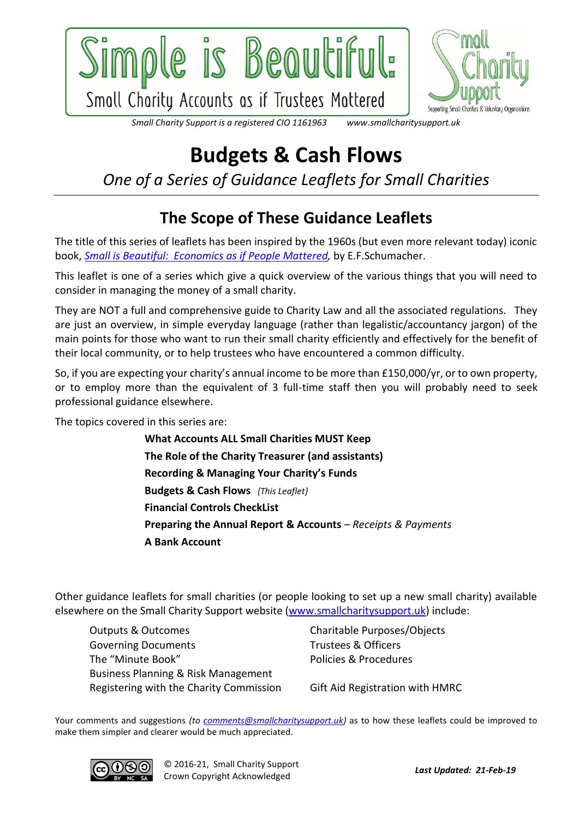



www.smallcharitysupport.uk Small Charity Support is a registered CIO 1161963

## **Budgets & Cash Flows**

*One of a Series of Guidance Leaflets for Small Charities*

## **The Scope of These Guidance Leaflets**

The title of this series of leaflets has been inspired by the 1960s (but even more relevant today) iconic book, *[Small is Beautiful: Economics as if People Mattered,](https://www.theguardian.com/commentisfree/2011/nov/10/small-is-beautiful-economic-idea)* by E.F.Schumacher.

This leaflet is one of a series which give a quick overview of the various things that you will need to consider in managing the money of a small charity.

They are NOT a full and comprehensive guide to Charity Law and all the associated regulations. They are just an overview, in simple everyday language (rather than legalistic/accountancy jargon) of the main points for those who want to run their small charity efficiently and effectively for the benefit of their local community, or to help trustees who have encountered a common difficulty.

So, if you are expecting your charity's annual income to be more than £150,000/yr, or to own property, or to employ more than the equivalent of 3 full-time staff then you will probably need to seek professional guidance elsewhere.

The topics covered in this series are:

**What Accounts ALL Small Charities MUST Keep The Role of the Charity Treasurer (and assistants) Recording & Managing Your Charity's Funds Budgets & Cash Flows** *{This Leaflet}* **Financial Controls CheckList Preparing the Annual Report & Accounts** *– Receipts & Payments* **A Bank Account**

Other guidance leaflets for small charities (or people looking to set up a new small charity) available elsewhere on the Small Charity Support website [\(www.smallcharitysupport.uk\)](http://www.smallcharitysupport.uk/) include:

Outputs & Outcomes Charitable Purposes/Objects Governing Documents Trustees & Officers The "Minute Book" The "Minute Book" Business Planning & Risk Management Registering with the Charity Commission Gift Aid Registration with HMRC

Your comments and suggestions *(to [comments@smallcharitysupport.uk\)](mailto:comments@smallcharitysupport.uk)* as to how these leaflets could be improved to make them simpler and clearer would be much appreciated.

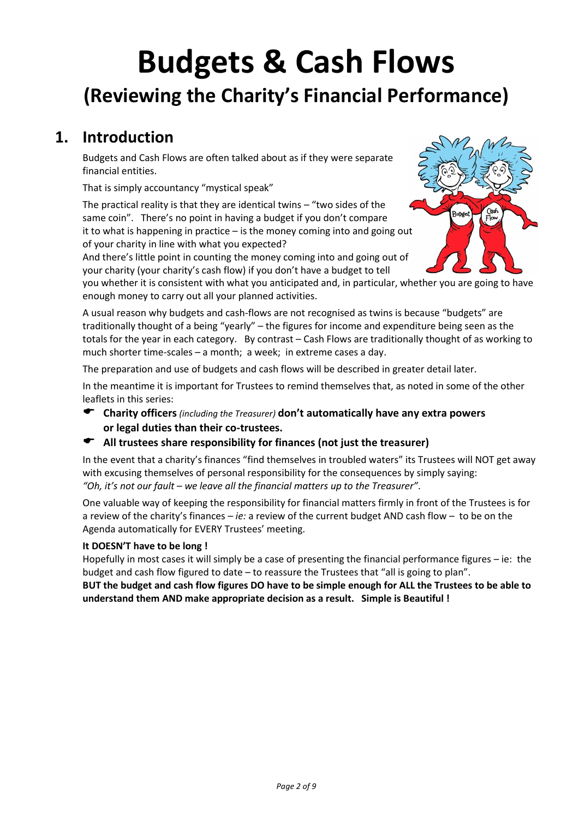# **Budgets & Cash Flows (Reviewing the Charity's Financial Performance)**

## **1. Introduction**

Budgets and Cash Flows are often talked about as if they were separate financial entities.

That is simply accountancy "mystical speak"

The practical reality is that they are identical twins – "two sides of the same coin". There's no point in having a budget if you don't compare it to what is happening in practice – is the money coming into and going out of your charity in line with what you expected?

And there's little point in counting the money coming into and going out of your charity (your charity's cash flow) if you don't have a budget to tell



you whether it is consistent with what you anticipated and, in particular, whether you are going to have enough money to carry out all your planned activities.

A usual reason why budgets and cash-flows are not recognised as twins is because "budgets" are traditionally thought of a being "yearly" – the figures for income and expenditure being seen as the totals for the year in each category. By contrast – Cash Flows are traditionally thought of as working to much shorter time-scales – a month; a week; in extreme cases a day.

The preparation and use of budgets and cash flows will be described in greater detail later.

In the meantime it is important for Trustees to remind themselves that, as noted in some of the other leaflets in this series:

 **Charity officers***(including the Treasurer)* **don't automatically have any extra powers or legal duties than their co-trustees.**

#### **All trustees share responsibility for finances (not just the treasurer)**

In the event that a charity's finances "find themselves in troubled waters" its Trustees will NOT get away with excusing themselves of personal responsibility for the consequences by simply saying: *"Oh, it's not our fault – we leave all the financial matters up to the Treasurer"*.

One valuable way of keeping the responsibility for financial matters firmly in front of the Trustees is for a review of the charity's finances – *ie:* a review of the current budget AND cash flow – to be on the Agenda automatically for EVERY Trustees' meeting.

#### **It DOESN'T have to be long !**

Hopefully in most cases it will simply be a case of presenting the financial performance figures – ie: the budget and cash flow figured to date – to reassure the Trustees that "all is going to plan".

**BUT the budget and cash flow figures DO have to be simple enough for ALL the Trustees to be able to understand them AND make appropriate decision as a result. Simple is Beautiful !**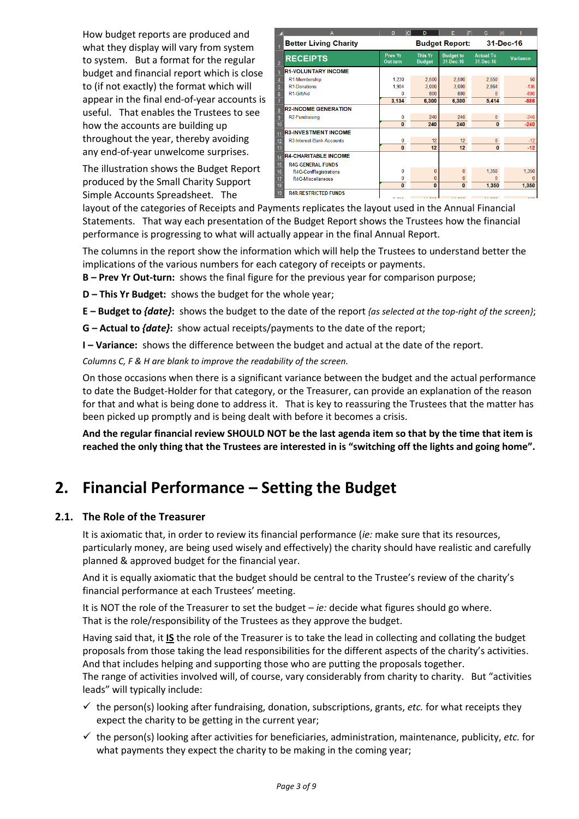How budget reports are produced and what they display will vary from system to system. But a format for the regular budget and financial report which is close to (if not exactly) the format which will appear in the final end-of-year accounts is useful. That enables the Trustees to see how the accounts are building up throughout the year, thereby avoiding any end-of-year unwelcome surprises.

The illustration shows the Budget Report produced by the Small Charity Support Simple Accounts Spreadsheet. The

|                | A                            | B<br>lc.                   | D                               | F                             | lн<br>G                       |                 |
|----------------|------------------------------|----------------------------|---------------------------------|-------------------------------|-------------------------------|-----------------|
|                | <b>Better Living Charity</b> |                            |                                 | <b>Budget Report:</b>         |                               | 31-Dec-16       |
| $\overline{2}$ | <b>RECEIPTS</b>              | <b>Prev Yr</b><br>Out-turn | <b>This Yr</b><br><b>Budget</b> | <b>Budget to</b><br>31-Dec-16 | <b>Actual To</b><br>31-Dec-16 | <b>Variance</b> |
| 3              | <b>R1-VOLUNTARY INCOME</b>   |                            |                                 |                               |                               |                 |
| 4              | R1-Membership                | 1.230                      | 2,500                           | 2.500                         | 2.550                         | 50              |
| 5              | <b>R1-Donations</b>          | 1,904                      | 3,000                           | 3,000                         | 2.864                         | $-136$          |
| 6              | R1-GiftAid                   | 0                          | 800                             | 800                           | $\Omega$                      | $-800$          |
|                |                              | 3,134                      | 6,300                           | 6,300                         | 5,414                         | $-886$          |
| 8              | <b>R2-INCOME GENERATION</b>  |                            |                                 |                               |                               |                 |
| 9              | R2-Fundraising               | 0                          | 240                             | 240                           | $\mathbf{0}$                  | $-240$          |
| 10             |                              | $\mathbf{0}$               | 240                             | 240                           | $\mathbf{0}$                  | $-240$          |
| 11             | <b>R3-INVESTMENT INCOME</b>  |                            |                                 |                               |                               |                 |
| 12             | R3-Interest-Bank Accounts    | 0                          | 12                              | 12                            | 0                             | $-12$           |
| 13             |                              | $\bf{0}$                   | 12                              | 12                            | $\mathbf{0}$                  | $-12$           |
| 14             | <b>R4-CHARITABLE INCOME</b>  |                            |                                 |                               |                               |                 |
| 15             | <b>R4G-GENERAL FUNDS</b>     |                            |                                 |                               |                               |                 |
| 16             | R4G-ConfRegistrations        | 0                          | $\bf{0}$                        | 0                             | 1,350                         | 1,350           |
| 17             | R4G-Miscellaneous            | 0                          | 0                               | 0                             | n                             |                 |
| 18             |                              | $\bf{0}$                   | $\bf{0}$                        | $\bf{0}$                      | 1.350                         | 1.350           |
| 19             | <b>R4R-RESTRICTED FUNDS</b>  |                            |                                 |                               |                               |                 |
|                |                              |                            |                                 | $\overline{a}$                | <b>CARAC</b>                  | $-0.0$          |

layout of the categories of Receipts and Payments replicates the layout used in the Annual Financial Statements. That way each presentation of the Budget Report shows the Trustees how the financial performance is progressing to what will actually appear in the final Annual Report.

The columns in the report show the information which will help the Trustees to understand better the implications of the various numbers for each category of receipts or payments.

- **B – Prev Yr Out-turn:** shows the final figure for the previous year for comparison purpose;
- **D – This Yr Budget:** shows the budget for the whole year;
- **E – Budget to** *{date}***:** shows the budget to the date of the report *{as selected at the top-right of the screen}*;
- **G – Actual to** *{date}***:** show actual receipts/payments to the date of the report;
- **I – Variance:** shows the difference between the budget and actual at the date of the report.

*Columns C, F & H are blank to improve the readability of the screen.*

On those occasions when there is a significant variance between the budget and the actual performance to date the Budget-Holder for that category, or the Treasurer, can provide an explanation of the reason for that and what is being done to address it. That is key to reassuring the Trustees that the matter has been picked up promptly and is being dealt with before it becomes a crisis.

**And the regular financial review SHOULD NOT be the last agenda item so that by the time that item is reached the only thing that the Trustees are interested in is "switching off the lights and going home".**

## **2. Financial Performance – Setting the Budget**

#### **2.1. The Role of the Treasurer**

It is axiomatic that, in order to review its financial performance (*ie:* make sure that its resources, particularly money, are being used wisely and effectively) the charity should have realistic and carefully planned & approved budget for the financial year.

And it is equally axiomatic that the budget should be central to the Trustee's review of the charity's financial performance at each Trustees' meeting.

It is NOT the role of the Treasurer to set the budget – *ie:* decide what figures should go where. That is the role/responsibility of the Trustees as they approve the budget.

Having said that, it **IS** the role of the Treasurer is to take the lead in collecting and collating the budget proposals from those taking the lead responsibilities for the different aspects of the charity's activities. And that includes helping and supporting those who are putting the proposals together.

The range of activities involved will, of course, vary considerably from charity to charity. But "activities leads" will typically include:

- ✓ the person(s) looking after fundraising, donation, subscriptions, grants, *etc.* for what receipts they expect the charity to be getting in the current year;
- $\checkmark$  the person(s) looking after activities for beneficiaries, administration, maintenance, publicity, *etc.* for what payments they expect the charity to be making in the coming year;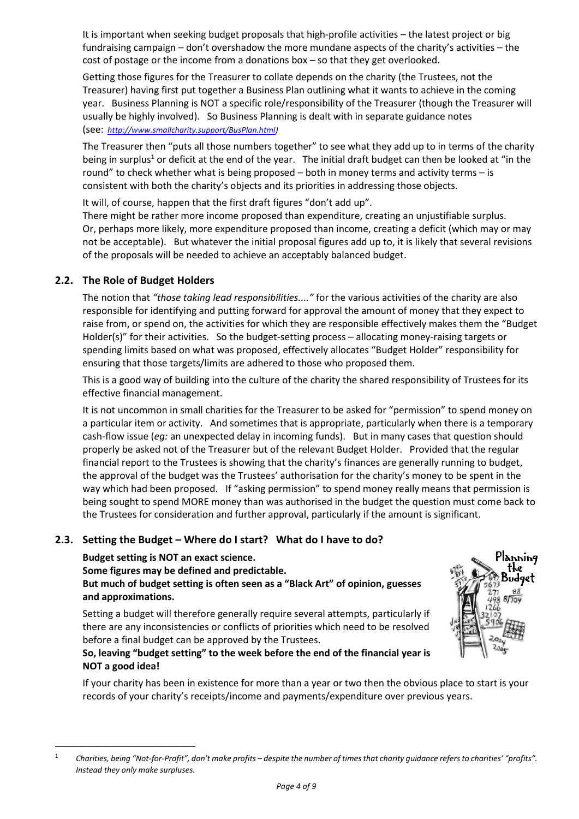It is important when seeking budget proposals that high-profile activities – the latest project or big fundraising campaign – don't overshadow the more mundane aspects of the charity's activities – the cost of postage or the income from a donations box – so that they get overlooked.

Getting those figures for the Treasurer to collate depends on the charity (the Trustees, not the Treasurer) having first put together a Business Plan outlining what it wants to achieve in the coming year. Business Planning is NOT a specific role/responsibility of the Treasurer (though the Treasurer will usually be highly involved). So Business Planning is dealt with in separate guidance notes (see: *[http://www.smallcharity.support/BusPlan.html\)](http://www.smallcharity.support/BusPlan.html)*

The Treasurer then "puts all those numbers together" to see what they add up to in terms of the charity being in surplus<sup>1</sup> or deficit at the end of the year. The initial draft budget can then be looked at "in the round" to check whether what is being proposed – both in money terms and activity terms – is consistent with both the charity's objects and its priorities in addressing those objects.

It will, of course, happen that the first draft figures "don't add up".

There might be rather more income proposed than expenditure, creating an unjustifiable surplus. Or, perhaps more likely, more expenditure proposed than income, creating a deficit (which may or may not be acceptable). But whatever the initial proposal figures add up to, it is likely that several revisions of the proposals will be needed to achieve an acceptably balanced budget.

#### **2.2. The Role of Budget Holders**

The notion that *"those taking lead responsibilities...."* for the various activities of the charity are also responsible for identifying and putting forward for approval the amount of money that they expect to raise from, or spend on, the activities for which they are responsible effectively makes them the "Budget Holder(s)" for their activities. So the budget-setting process – allocating money-raising targets or spending limits based on what was proposed, effectively allocates "Budget Holder" responsibility for ensuring that those targets/limits are adhered to those who proposed them.

This is a good way of building into the culture of the charity the shared responsibility of Trustees for its effective financial management.

It is not uncommon in small charities for the Treasurer to be asked for "permission" to spend money on a particular item or activity. And sometimes that is appropriate, particularly when there is a temporary cash-flow issue (*eg:* an unexpected delay in incoming funds). But in many cases that question should properly be asked not of the Treasurer but of the relevant Budget Holder. Provided that the regular financial report to the Trustees is showing that the charity's finances are generally running to budget, the approval of the budget was the Trustees' authorisation for the charity's money to be spent in the way which had been proposed. If "asking permission" to spend money really means that permission is being sought to spend MORE money than was authorised in the budget the question must come back to the Trustees for consideration and further approval, particularly if the amount is significant.

#### **2.3. Setting the Budget – Where do I start? What do I have to do?**

**Budget setting is NOT an exact science.**

**Some figures may be defined and predictable.**

**But much of budget setting is often seen as a "Black Art" of opinion, guesses and approximations.**

Setting a budget will therefore generally require several attempts, particularly if there are any inconsistencies or conflicts of priorities which need to be resolved before a final budget can be approved by the Trustees.

#### **So, leaving "budget setting" to the week before the end of the financial year is NOT a good idea!**



If your charity has been in existence for more than a year or two then the obvious place to start is your records of your charity's receipts/income and payments/expenditure over previous years.

<sup>1</sup> *Charities, being "Not-for-Profit", don't make profits – despite the number of times that charity guidance refers to charities' "profits". Instead they only make surpluses.*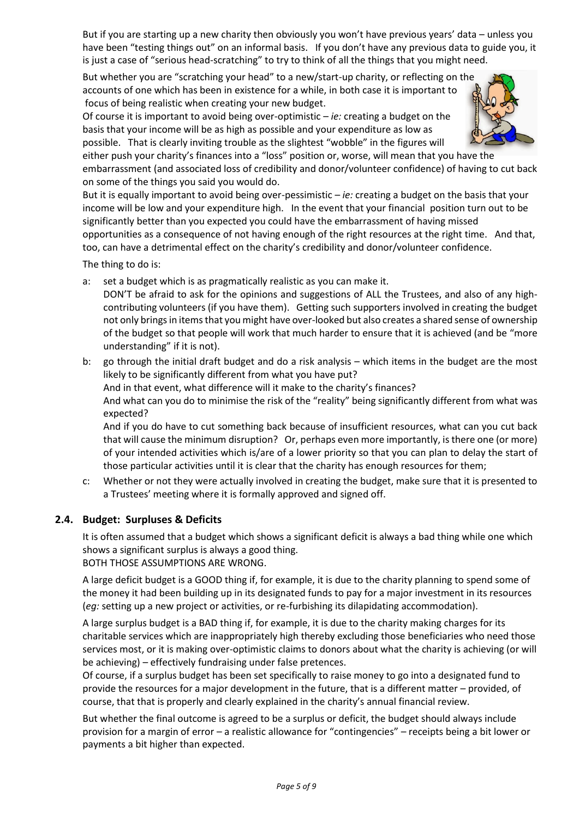But if you are starting up a new charity then obviously you won't have previous years' data – unless you have been "testing things out" on an informal basis. If you don't have any previous data to guide you, it is just a case of "serious head-scratching" to try to think of all the things that you might need.

But whether you are "scratching your head" to a new/start-up charity, or reflecting on the accounts of one which has been in existence for a while, in both case it is important to focus of being realistic when creating your new budget.

Of course it is important to avoid being over-optimistic – *ie:* creating a budget on the basis that your income will be as high as possible and your expenditure as low as possible. That is clearly inviting trouble as the slightest "wobble" in the figures will



either push your charity's finances into a "loss" position or, worse, will mean that you have the embarrassment (and associated loss of credibility and donor/volunteer confidence) of having to cut back on some of the things you said you would do.

But it is equally important to avoid being over-pessimistic – *ie:* creating a budget on the basis that your income will be low and your expenditure high. In the event that your financial position turn out to be significantly better than you expected you could have the embarrassment of having missed opportunities as a consequence of not having enough of the right resources at the right time. And that,

too, can have a detrimental effect on the charity's credibility and donor/volunteer confidence.

The thing to do is:

- a: set a budget which is as pragmatically realistic as you can make it.
- DON'T be afraid to ask for the opinions and suggestions of ALL the Trustees, and also of any highcontributing volunteers (if you have them). Getting such supporters involved in creating the budget not only brings in items that you might have over-looked but also creates a shared sense of ownership of the budget so that people will work that much harder to ensure that it is achieved (and be "more understanding" if it is not).
- b: go through the initial draft budget and do a risk analysis which items in the budget are the most likely to be significantly different from what you have put?

And in that event, what difference will it make to the charity's finances?

And what can you do to minimise the risk of the "reality" being significantly different from what was expected?

And if you do have to cut something back because of insufficient resources, what can you cut back that will cause the minimum disruption? Or, perhaps even more importantly, is there one (or more) of your intended activities which is/are of a lower priority so that you can plan to delay the start of those particular activities until it is clear that the charity has enough resources for them;

c: Whether or not they were actually involved in creating the budget, make sure that it is presented to a Trustees' meeting where it is formally approved and signed off.

#### **2.4. Budget: Surpluses & Deficits**

It is often assumed that a budget which shows a significant deficit is always a bad thing while one which shows a significant surplus is always a good thing.

BOTH THOSE ASSUMPTIONS ARE WRONG.

A large deficit budget is a GOOD thing if, for example, it is due to the charity planning to spend some of the money it had been building up in its designated funds to pay for a major investment in its resources (*eg:* setting up a new project or activities, or re-furbishing its dilapidating accommodation).

A large surplus budget is a BAD thing if, for example, it is due to the charity making charges for its charitable services which are inappropriately high thereby excluding those beneficiaries who need those services most, or it is making over-optimistic claims to donors about what the charity is achieving (or will be achieving) – effectively fundraising under false pretences.

Of course, if a surplus budget has been set specifically to raise money to go into a designated fund to provide the resources for a major development in the future, that is a different matter – provided, of course, that that is properly and clearly explained in the charity's annual financial review.

But whether the final outcome is agreed to be a surplus or deficit, the budget should always include provision for a margin of error – a realistic allowance for "contingencies" – receipts being a bit lower or payments a bit higher than expected.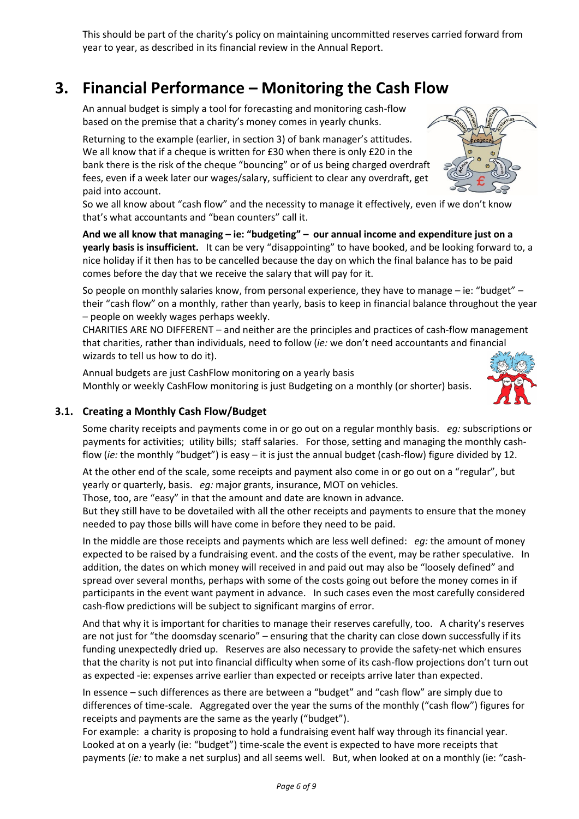This should be part of the charity's policy on maintaining uncommitted reserves carried forward from year to year, as described in its financial review in the Annual Report.

## **3. Financial Performance – Monitoring the Cash Flow**

An annual budget is simply a tool for forecasting and monitoring cash-flow based on the premise that a charity's money comes in yearly chunks.

Returning to the example (earlier, in section 3) of bank manager's attitudes. We all know that if a cheque is written for £30 when there is only £20 in the bank there is the risk of the cheque "bouncing" or of us being charged overdraft fees, even if a week later our wages/salary, sufficient to clear any overdraft, get paid into account.

So we all know about "cash flow" and the necessity to manage it effectively, even if we don't know that's what accountants and "bean counters" call it.

**And we all know that managing – ie: "budgeting" – our annual income and expenditure just on a yearly basis is insufficient.** It can be very "disappointing" to have booked, and be looking forward to, a nice holiday if it then has to be cancelled because the day on which the final balance has to be paid comes before the day that we receive the salary that will pay for it.

So people on monthly salaries know, from personal experience, they have to manage – ie: "budget" – their "cash flow" on a monthly, rather than yearly, basis to keep in financial balance throughout the year – people on weekly wages perhaps weekly.

CHARITIES ARE NO DIFFERENT – and neither are the principles and practices of cash-flow management that charities, rather than individuals, need to follow (*ie:* we don't need accountants and financial wizards to tell us how to do it).

Annual budgets are just CashFlow monitoring on a yearly basis Monthly or weekly CashFlow monitoring is just Budgeting on a monthly (or shorter) basis.



Some charity receipts and payments come in or go out on a regular monthly basis. *eg:* subscriptions or payments for activities; utility bills; staff salaries. For those, setting and managing the monthly cashflow (*ie:* the monthly "budget") is easy – it is just the annual budget (cash-flow) figure divided by 12.

At the other end of the scale, some receipts and payment also come in or go out on a "regular", but yearly or quarterly, basis. *eg:* major grants, insurance, MOT on vehicles.

Those, too, are "easy" in that the amount and date are known in advance.

But they still have to be dovetailed with all the other receipts and payments to ensure that the money needed to pay those bills will have come in before they need to be paid.

In the middle are those receipts and payments which are less well defined: *eg:* the amount of money expected to be raised by a fundraising event. and the costs of the event, may be rather speculative. In addition, the dates on which money will received in and paid out may also be "loosely defined" and spread over several months, perhaps with some of the costs going out before the money comes in if participants in the event want payment in advance. In such cases even the most carefully considered cash-flow predictions will be subject to significant margins of error.

And that why it is important for charities to manage their reserves carefully, too. A charity's reserves are not just for "the doomsday scenario" – ensuring that the charity can close down successfully if its funding unexpectedly dried up. Reserves are also necessary to provide the safety-net which ensures that the charity is not put into financial difficulty when some of its cash-flow projections don't turn out as expected -ie: expenses arrive earlier than expected or receipts arrive later than expected.

In essence – such differences as there are between a "budget" and "cash flow" are simply due to differences of time-scale. Aggregated over the year the sums of the monthly ("cash flow") figures for receipts and payments are the same as the yearly ("budget").

For example: a charity is proposing to hold a fundraising event half way through its financial year. Looked at on a yearly (ie: "budget") time-scale the event is expected to have more receipts that payments (*ie:* to make a net surplus) and all seems well. But, when looked at on a monthly (ie: "cash-



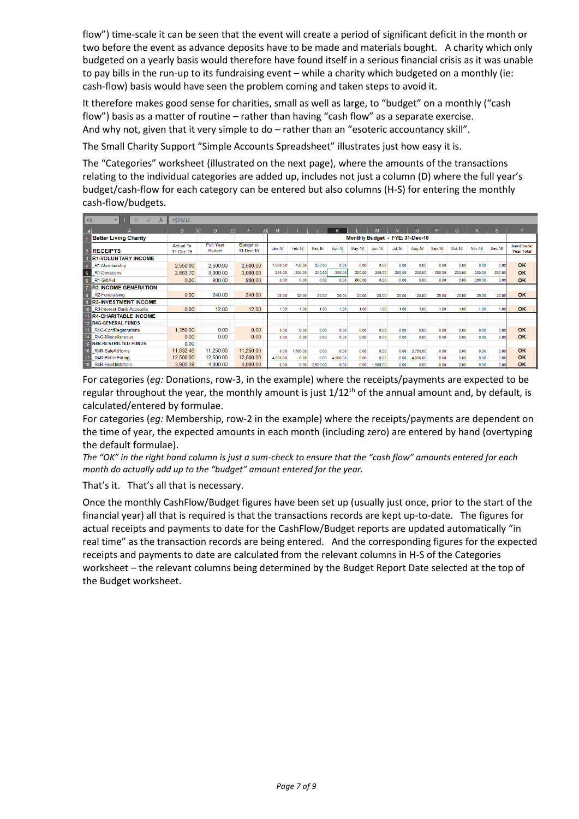flow") time-scale it can be seen that the event will create a period of significant deficit in the month or two before the event as advance deposits have to be made and materials bought. A charity which only budgeted on a yearly basis would therefore have found itself in a serious financial crisis as it was unable to pay bills in the run-up to its fundraising event – while a charity which budgeted on a monthly (ie: cash-flow) basis would have seen the problem coming and taken steps to avoid it.

It therefore makes good sense for charities, small as well as large, to "budget" on a monthly ("cash flow") basis as a matter of routine – rather than having "cash flow" as a separate exercise. And why not, given that it very simple to do – rather than an "esoteric accountancy skill".

The Small Charity Support "Simple Accounts Spreadsheet" illustrates just how easy it is.

The "Categories" worksheet (illustrated on the next page), where the amounts of the transactions relating to the individual categories are added up, includes not just a column (D) where the full year's budget/cash-flow for each category can be entered but also columns (H-S) for entering the monthly cash-flow/budgets.

| K5                           | Ŧ.<br>$\overline{\mathbf{v}}$<br>$f_x$<br>$\times$<br>$\checkmark$ | $=SD5/12$                     |                                   |                               |                                 |          |          |          |        |          |          |          |               |        |               |        |                                       |
|------------------------------|--------------------------------------------------------------------|-------------------------------|-----------------------------------|-------------------------------|---------------------------------|----------|----------|----------|--------|----------|----------|----------|---------------|--------|---------------|--------|---------------------------------------|
|                              |                                                                    | B.<br>Iсl                     | E<br>D                            | IGI<br>F.                     | н                               |          |          |          |        |          |          |          |               | റ      |               | s.     |                                       |
| <b>Better Living Charity</b> |                                                                    |                               |                                   |                               | Monthly Budget - FYE: 31-Dec-16 |          |          |          |        |          |          |          |               |        |               |        |                                       |
|                              | <b>RECEIPTS</b>                                                    | <b>Actual To</b><br>31-Dec-16 | <b>Full Year</b><br><b>Budget</b> | <b>Budget to</b><br>31-Dec-16 | $Jan-16$                        | Feb-16   | Mar-16   | Apr-16   | May-16 | $Jun-16$ | $Ju$ -16 | Aug-16   | <b>Sep-16</b> | Oct-16 | <b>Nov-16</b> | Dec-16 | <b>SumCheck:</b><br><b>Year Total</b> |
| <b>R1-VOLUNTARY INCOME</b>   |                                                                    |                               |                                   |                               |                                 |          |          |          |        |          |          |          |               |        |               |        |                                       |
|                              | R1-Membership                                                      | 2,550.00                      | 2,500.00                          | 2,500.00                      | 1,500.00                        | 750.00   | 250.00   | 0.00     | 0.00   | 0.00     | 0.00     | 0.00     | 0.00          | 0.00   | 0.00          | 0.00   | OK                                    |
|                              | R1-Donations                                                       | 2,863.70                      | 3,000.00                          | 3,000.00                      | 250.00                          | 250.00   | 250.00   | 250.00   | 250.00 | 250.00   | 250.00   | 250.00   | 250.00        | 250.00 | 250.00        | 250.00 | OK                                    |
| $6\overline{6}$              | R1-GiftAid                                                         | 0.00                          | 800.00                            | 800.00                        | 0.00                            | 0.00     | 0.00     | 0.00     | 600.00 | 0.00     | 0.00     | 0.00     | 0.00          | 0.00   | 200.00        | 0.00   | OK                                    |
| <b>R2-INCOME GENERATION</b>  |                                                                    |                               |                                   |                               |                                 |          |          |          |        |          |          |          |               |        |               |        |                                       |
|                              | R <sub>2</sub> -Fundraising                                        | 0.00                          | 240.00                            | 240.00                        | 20.00                           | 20.00    | 20.00    | 20.00    | 20.00  | 20.00    | 20.00    | 20.00    | 20.00         | 20.00  | 20.00         | 20.00  | OK                                    |
|                              | <b>R3-INVESTMENT INCOME</b>                                        |                               |                                   |                               |                                 |          |          |          |        |          |          |          |               |        |               |        |                                       |
|                              | 10 R3-Interest-Bank Accounts                                       | 0.00                          | 12.00                             | 12.00                         | 1.00                            | 1.00     | 1.00     | 1.00     | 1.00   | 1.00     | 1.00     | 1.00     | 1.00          | 1.00   | 1.00          | 1.00   | OK                                    |
|                              | <b>R4-CHARITABLE INCOME</b>                                        |                               |                                   |                               |                                 |          |          |          |        |          |          |          |               |        |               |        |                                       |
|                              | <b>12 R4G-GENERAL FUNDS</b>                                        |                               |                                   |                               |                                 |          |          |          |        |          |          |          |               |        |               |        |                                       |
| 13 <sup>1</sup>              | R4G-ConfRegistrations                                              | 1.350.00                      | 0.00                              | 0.00                          | 0.00                            | 0.00     | 0.00     | 0.00     | 0.00   | 0.00     | 0.00     | 0.00     | 0.00          | 0.00   | 0.00          | 0.00   | OK                                    |
| 14 <sup>1</sup>              | R4G-Miscellaneous                                                  | 0.00                          | 0.00                              | 0.00                          | 0.00                            | 0.00     | 0.00     | 0.00     | 0.00   | 0.00     | 0.00     | 0.00     | 0.00          | 0.00   | 0.00          | 0.00   | OK                                    |
| 15                           | <b>R4R-RESTRICTED FUNDS</b>                                        | 0.00                          |                                   |                               |                                 |          |          |          |        |          |          |          |               |        |               |        |                                       |
| 16                           | R4R-SafeAtHome                                                     | 11,832.46                     | 11.250.00                         | 11.250.00                     | 0.00                            | 7,500.00 | 0.00     | 0.00     | 0.00   | 0.00     | 0.00     | 3.750.00 | 0.00          | 0.00   | 0.00          | 0.00   | OK                                    |
| 17                           | R4R-BetterEating                                                   | 12,500.00                     | 12,500.00                         | 12,500.00                     | 4,500.00                        | 0.00     | 0.00     | 4.000.00 | 0.00   | 0.00     | 0.00     | 4,000.00 | 0.00          | 0.00   | 0.00          | 0.00   | OK                                    |
| 18 <sup>1</sup>              | R4R-HealthMatters                                                  | 3,905.39                      | 4,000.00                          | 4,000.00                      | 0.00                            | 0.00     | 2,500.00 | 0.00     | 0.00   | 1,500.00 | 0.00     | 0.00     | 0.00          | 0.00   | 0.00          | 0.00   | OK                                    |

For categories (*eg:* Donations, row-3, in the example) where the receipts/payments are expected to be regular throughout the year, the monthly amount is just  $1/12<sup>th</sup>$  of the annual amount and, by default, is calculated/entered by formulae.

For categories (*eg:* Membership, row-2 in the example) where the receipts/payments are dependent on the time of year, the expected amounts in each month (including zero) are entered by hand (overtyping the default formulae).

*The "OK" in the right hand column is just a sum-check to ensure that the "cash flow" amounts entered for each month do actually add up to the "budget" amount entered for the year.*

That's it. That's all that is necessary.

Once the monthly CashFlow/Budget figures have been set up (usually just once, prior to the start of the financial year) all that is required is that the transactions records are kept up-to-date. The figures for actual receipts and payments to date for the CashFlow/Budget reports are updated automatically "in real time" as the transaction records are being entered. And the corresponding figures for the expected receipts and payments to date are calculated from the relevant columns in H-S of the Categories worksheet – the relevant columns being determined by the Budget Report Date selected at the top of the Budget worksheet.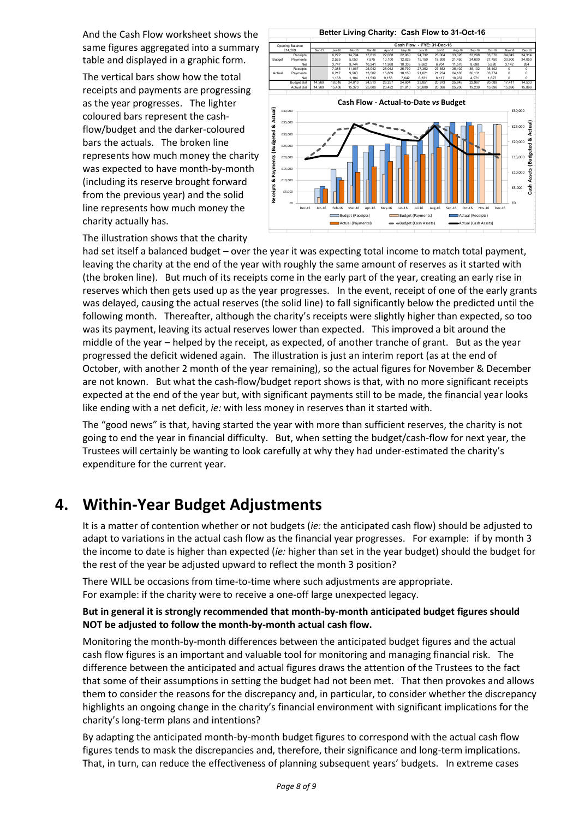And the Cash Flow worksheet shows the same figures aggregated into a summary table and displayed in a graphic form.

The vertical bars show how the total receipts and payments are progressing as the year progresses. The lighter coloured bars represent the cashflow/budget and the darker-coloured bars the actuals. The broken line represents how much money the charity was expected to have month-by-month (including its reserve brought forward from the previous year) and the solid line represents how much money the charity actually has.



The illustration shows that the charity

had set itself a balanced budget – over the year it was expecting total income to match total payment, leaving the charity at the end of the year with roughly the same amount of reserves as it started with (the broken line). But much of its receipts come in the early part of the year, creating an early rise in reserves which then gets used up as the year progresses. In the event, receipt of one of the early grants was delayed, causing the actual reserves (the solid line) to fall significantly below the predicted until the following month. Thereafter, although the charity's receipts were slightly higher than expected, so too was its payment, leaving its actual reserves lower than expected. This improved a bit around the middle of the year – helped by the receipt, as expected, of another tranche of grant. But as the year progressed the deficit widened again. The illustration is just an interim report (as at the end of October, with another 2 month of the year remaining), so the actual figures for November & December are not known. But what the cash-flow/budget report shows is that, with no more significant receipts expected at the end of the year but, with significant payments still to be made, the financial year looks like ending with a net deficit, *ie:* with less money in reserves than it started with.

The "good news" is that, having started the year with more than sufficient reserves, the charity is not going to end the year in financial difficulty. But, when setting the budget/cash-flow for next year, the Trustees will certainly be wanting to look carefully at why they had under-estimated the charity's expenditure for the current year.

## **4. Within-Year Budget Adjustments**

It is a matter of contention whether or not budgets (*ie:* the anticipated cash flow) should be adjusted to adapt to variations in the actual cash flow as the financial year progresses. For example: if by month 3 the income to date is higher than expected (*ie:* higher than set in the year budget) should the budget for the rest of the year be adjusted upward to reflect the month 3 position?

There WILL be occasions from time-to-time where such adjustments are appropriate. For example: if the charity were to receive a one-off large unexpected legacy.

#### **But in general it is strongly recommended that month-by-month anticipated budget figures should NOT be adjusted to follow the month-by-month actual cash flow.**

Monitoring the month-by-month differences between the anticipated budget figures and the actual cash flow figures is an important and valuable tool for monitoring and managing financial risk. The difference between the anticipated and actual figures draws the attention of the Trustees to the fact that some of their assumptions in setting the budget had not been met. That then provokes and allows them to consider the reasons for the discrepancy and, in particular, to consider whether the discrepancy highlights an ongoing change in the charity's financial environment with significant implications for the charity's long-term plans and intentions?

By adapting the anticipated month-by-month budget figures to correspond with the actual cash flow figures tends to mask the discrepancies and, therefore, their significance and long-term implications. That, in turn, can reduce the effectiveness of planning subsequent years' budgets. In extreme cases